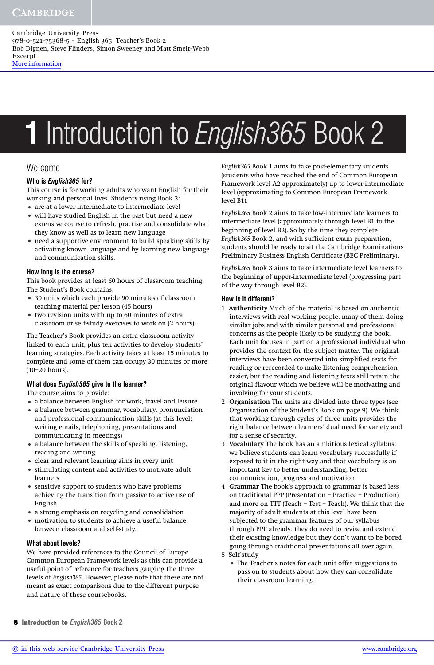# **1** Introduction to *English365* Book 2

# Welcome

## **Who is** *English365* **for?**

This course is for working adults who want English for their working and personal lives. Students using Book 2:

- are at a lower-intermediate to intermediate level
- will have studied English in the past but need a new extensive course to refresh, practise and consolidate what they know as well as to learn new language
- need a supportive environment to build speaking skills by activating known language and by learning new language and communication skills.

## **How long is the course?**

This book provides at least 60 hours of classroom teaching. The Student's Book contains:

- 30 units which each provide 90 minutes of classroom teaching material per lesson (45 hours)
- two revision units with up to 60 minutes of extra classroom or self-study exercises to work on (2 hours).

The Teacher's Book provides an extra classroom activity linked to each unit, plus ten activities to develop students' learning strategies. Each activity takes at least 15 minutes to complete and some of them can occupy 30 minutes or more (10–20 hours).

## **What does** *English365* **give to the learner?**

The course aims to provide:

- a balance between English for work, travel and leisure
- a balance between grammar, vocabulary, pronunciation and professional communication skills (at this level: writing emails, telephoning, presentations and communicating in meetings)
- a balance between the skills of speaking, listening, reading and writing
- clear and relevant learning aims in every unit
- stimulating content and activities to motivate adult learners
- sensitive support to students who have problems achieving the transition from passive to active use of English
- a strong emphasis on recycling and consolidation
- motivation to students to achieve a useful balance between classroom and self-study.

## **What about levels?**

We have provided references to the Council of Europe Common European Framework levels as this can provide a useful point of reference for teachers gauging the three levels of *English365*. However, please note that these are not meant as exact comparisons due to the different purpose and nature of these coursebooks.

*English365* Book 1 aims to take post-elementary students (students who have reached the end of Common European Framework level A2 approximately) up to lower-intermediate level (approximating to Common European Framework level B1).

*English365* Book 2 aims to take low-intermediate learners to intermediate level (approximately through level B1 to the beginning of level B2). So by the time they complete *English365* Book 2, and with sufficient exam preparation, students should be ready to sit the Cambridge Examinations Preliminary Business English Certificate (BEC Preliminary).

*English365* Book 3 aims to take intermediate level learners to the beginning of upper-intermediate level (progressing part of the way through level B2).

### **How is it different?**

- 1 **Authenticity** Much of the material is based on authentic interviews with real working people, many of them doing similar jobs and with similar personal and professional concerns as the people likely to be studying the book. Each unit focuses in part on a professional individual who provides the context for the subject matter. The original interviews have been converted into simplified texts for reading or rerecorded to make listening comprehension easier, but the reading and listening texts still retain the original flavour which we believe will be motivating and involving for your students.
- 2 **Organisation** The units are divided into three types (see Organisation of the Student's Book on page 9). We think that working through cycles of three units provides the right balance between learners' dual need for variety and for a sense of security.
- 3 **Vocabulary** The book has an ambitious lexical syllabus: we believe students can learn vocabulary successfully if exposed to it in the right way and that vocabulary is an important key to better understanding, better communication, progress and motivation.
- 4 **Grammar** The book's approach to grammar is based less on traditional PPP (Presentation – Practice – Production) and more on TTT (Teach – Test – Teach). We think that the majority of adult students at this level have been subjected to the grammar features of our syllabus through PPP already; they do need to revise and extend their existing knowledge but they don't want to be bored going through traditional presentations all over again.

5 **Self-study**

• The Teacher's notes for each unit offer suggestions to pass on to students about how they can consolidate their classroom learning.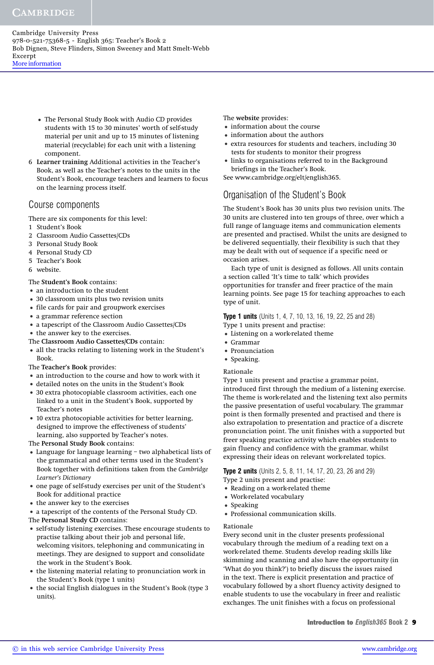# **CAMBRIDGE**

Cambridge University Press 978-0-521-75368-5 - English 365: Teacher's Book 2 Bob Dignen, Steve Flinders, Simon Sweeney and Matt Smelt-Webb Excerpt More information

- The Personal Study Book with Audio CD provides students with 15 to 30 minutes' worth of self-study material per unit and up to 15 minutes of listening material (recyclable) for each unit with a listening component.
- 6 **Learner training** Additional activities in the Teacher's Book, as well as the Teacher's notes to the units in the Student's Book, encourage teachers and learners to focus on the learning process itself.

# Course components

There are six components for this level:

- 1 Student's Book
- 2 Classroom Audio Cassettes/CDs
- 3 Personal Study Book
- 4 Personal Study CD
- 5 Teacher's Book
- 6 website.

#### The **Student's Book** contains:

- an introduction to the student
- 30 classroom units plus two revision units
- file cards for pair and groupwork exercises
- a grammar reference section
- a tapescript of the Classroom Audio Cassettes/CDs

• the answer key to the exercises.

- The **Classroom Audio Cassettes/CDs** contain:
- all the tracks relating to listening work in the Student's Book.

The **Teacher's Book** provides:

- an introduction to the course and how to work with it
- detailed notes on the units in the Student's Book
- 30 extra photocopiable classroom activities, each one linked to a unit in the Student's Book, supported by Teacher's notes
- 10 extra photocopiable activities for better learning, designed to improve the effectiveness of students' learning, also supported by Teacher's notes.

The **Personal Study Book** contains:

- Language for language learning two alphabetical lists of the grammatical and other terms used in the Student's Book together with definitions taken from the *Cambridge Learner's Dictionary*
- one page of self-study exercises per unit of the Student's Book for additional practice
- the answer key to the exercises

• a tapescript of the contents of the Personal Study CD. The **Personal Study CD** contains:

- self-study listening exercises. These encourage students to practise talking about their job and personal life, welcoming visitors, telephoning and communicating in meetings. They are designed to support and consolidate the work in the Student's Book.
- the listening material relating to pronunciation work in the Student's Book (type 1 units)
- the social English dialogues in the Student's Book (type 3 units).

The **website** provides:

- information about the course
- information about the authors
- extra resources for students and teachers, including 30 tests for students to monitor their progress
- links to organisations referred to in the Background briefings in the Teacher's Book.

See www.cambridge.org/elt/english365.

# Organisation of the Student's Book

The Student's Book has 30 units plus two revision units. The 30 units are clustered into ten groups of three, over which a full range of language items and communication elements are presented and practised. Whilst the units are designed to be delivered sequentially, their flexibility is such that they may be dealt with out of sequence if a specific need or occasion arises.

Each type of unit is designed as follows. All units contain a section called 'It's time to talk' which provides opportunities for transfer and freer practice of the main learning points. See page 15 for teaching approaches to each type of unit.

**Type 1 units** (Units 1, 4, 7, 10, 13, 16, 19, 22, 25 and 28)

- Type 1 units present and practise:
- Listening on a work-related theme
- Grammar
- Pronunciation
- Speaking.

## **Rationale**

Type 1 units present and practise a grammar point, introduced first through the medium of a listening exercise. The theme is work-related and the listening text also permits the passive presentation of useful vocabulary. The grammar point is then formally presented and practised and there is also extrapolation to presentation and practice of a discrete pronunciation point. The unit finishes with a supported but freer speaking practice activity which enables students to gain fluency and confidence with the grammar, whilst expressing their ideas on relevant work-related topics.

**Type 2 units** (Units 2, 5, 8, 11, 14, 17, 20, 23, 26 and 29)

- Type 2 units present and practise:
- Reading on a work-related theme
- Work-related vocabulary
- Speaking
- Professional communication skills.

#### **Rationale**

Every second unit in the cluster presents professional vocabulary through the medium of a reading text on a work-related theme. Students develop reading skills like skimming and scanning and also have the opportunity (in 'What do you think?') to briefly discuss the issues raised in the text. There is explicit presentation and practice of vocabulary followed by a short fluency activity designed to enable students to use the vocabulary in freer and realistic exchanges. The unit finishes with a focus on professional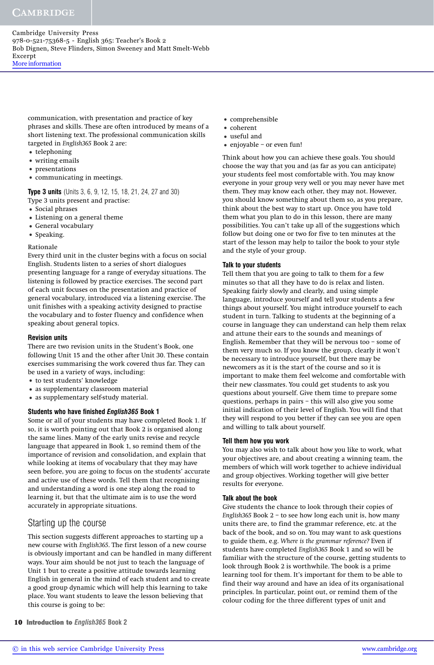# **CAMBRIDGE**

Cambridge University Press 978-0-521-75368-5 - English 365: Teacher's Book 2 Bob Dignen, Steve Flinders, Simon Sweeney and Matt Smelt-Webb Excerpt More information

communication, with presentation and practice of key phrases and skills. These are often introduced by means of a short listening text. The professional communication skills targeted in *English365* Book 2 are:

- telephoning
- writing emails
- presentations
- communicating in meetings.

**Type 3 units** (Units 3, 6, 9, 12, 15, 18, 21, 24, 27 and 30) Type 3 units present and practise:

- Social phrases
- Listening on a general theme
- General vocabulary
- Speaking.

#### **Rationale**

Every third unit in the cluster begins with a focus on social English. Students listen to a series of short dialogues presenting language for a range of everyday situations. The listening is followed by practice exercises. The second part of each unit focuses on the presentation and practice of general vocabulary, introduced via a listening exercise. The unit finishes with a speaking activity designed to practise the vocabulary and to foster fluency and confidence when speaking about general topics.

#### **Revision units**

There are two revision units in the Student's Book, one following Unit 15 and the other after Unit 30. These contain exercises summarising the work covered thus far. They can be used in a variety of ways, including:

- to test students' knowledge
- as supplementary classroom material
- as supplementary self-study material.

#### **Students who have finished** *English365* **Book 1**

Some or all of your students may have completed Book 1. If so, it is worth pointing out that Book 2 is organised along the same lines. Many of the early units revise and recycle language that appeared in Book 1, so remind them of the importance of revision and consolidation, and explain that while looking at items of vocabulary that they may have seen before, you are going to focus on the students' accurate and active use of these words. Tell them that recognising and understanding a word is one step along the road to learning it, but that the ultimate aim is to use the word accurately in appropriate situations.

# Starting up the course

This section suggests different approaches to starting up a new course with *English365*. The first lesson of a new course is obviously important and can be handled in many different ways. Your aim should be not just to teach the language of Unit 1 but to create a positive attitude towards learning English in general in the mind of each student and to create a good group dynamic which will help this learning to take place. You want students to leave the lesson believing that this course is going to be:

**10 Introduction to** *English365* **Book 2**

- comprehensible
- coherent
- useful and
- enjoyable or even fun!

Think about how you can achieve these goals. You should choose the way that you and (as far as you can anticipate) your students feel most comfortable with. You may know everyone in your group very well or you may never have met them. They may know each other, they may not. However, you should know something about them so, as you prepare, think about the best way to start up. Once you have told them what you plan to do in this lesson, there are many possibilities. You can't take up all of the suggestions which follow but doing one or two for five to ten minutes at the start of the lesson may help to tailor the book to your style and the style of your group.

#### **Talk to your students**

Tell them that you are going to talk to them for a few minutes so that all they have to do is relax and listen. Speaking fairly slowly and clearly, and using simple language, introduce yourself and tell your students a few things about yourself. You might introduce yourself to each student in turn. Talking to students at the beginning of a course in language they can understand can help them relax and attune their ears to the sounds and meanings of English. Remember that they will be nervous too – some of them very much so. If you know the group, clearly it won't be necessary to introduce yourself, but there may be newcomers as it is the start of the course and so it is important to make them feel welcome and comfortable with their new classmates. You could get students to ask you questions about yourself. Give them time to prepare some questions, perhaps in pairs – this will also give you some initial indication of their level of English. You will find that they will respond to you better if they can see you are open and willing to talk about yourself.

#### **Tell them how you work**

You may also wish to talk about how you like to work, what your objectives are, and about creating a winning team, the members of which will work together to achieve individual and group objectives. Working together will give better results for everyone.

#### **Talk about the book**

Give students the chance to look through their copies of *English365* Book 2 – to see how long each unit is, how many units there are, to find the grammar reference, etc. at the back of the book, and so on. You may want to ask questions to guide them, e.g. *Where is the grammar reference?* Even if students have completed *English365* Book 1 and so will be familiar with the structure of the course, getting students to look through Book 2 is worthwhile. The book is a prime learning tool for them. It's important for them to be able to find their way around and have an idea of its organisational principles. In particular, point out, or remind them of the colour coding for the three different types of unit and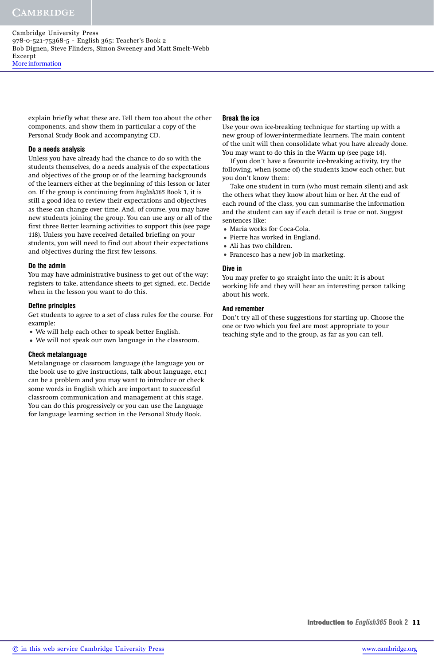explain briefly what these are. Tell them too about the other components, and show them in particular a copy of the Personal Study Book and accompanying CD.

#### **Do a needs analysis**

Unless you have already had the chance to do so with the students themselves, do a needs analysis of the expectations and objectives of the group or of the learning backgrounds of the learners either at the beginning of this lesson or later on. If the group is continuing from *English365* Book 1, it is still a good idea to review their expectations and objectives as these can change over time. And, of course, you may have new students joining the group. You can use any or all of the first three Better learning activities to support this (see page 118). Unless you have received detailed briefing on your students, you will need to find out about their expectations and objectives during the first few lessons.

#### **Do the admin**

You may have administrative business to get out of the way: registers to take, attendance sheets to get signed, etc. Decide when in the lesson you want to do this.

#### **Define principles**

Get students to agree to a set of class rules for the course. For example:

- We will help each other to speak better English.
- We will not speak our own language in the classroom.

#### **Check metalanguage**

Metalanguage or classroom language (the language you or the book use to give instructions, talk about language, etc.) can be a problem and you may want to introduce or check some words in English which are important to successful classroom communication and management at this stage. You can do this progressively or you can use the Language for language learning section in the Personal Study Book.

#### **Break the ice**

Use your own ice-breaking technique for starting up with a new group of lower-intermediate learners. The main content of the unit will then consolidate what you have already done. You may want to do this in the Warm up (see page 14).

If you don't have a favourite ice-breaking activity, try the following, when (some of) the students know each other, but you don't know them:

Take one student in turn (who must remain silent) and ask the others what they know about him or her. At the end of each round of the class, you can summarise the information and the student can say if each detail is true or not. Suggest sentences like:

- Maria works for Coca-Cola.
- Pierre has worked in England.
- Ali has two children.
- Francesco has a new job in marketing.

#### **Dive in**

You may prefer to go straight into the unit: it is about working life and they will hear an interesting person talking about his work.

#### **And remember**

Don't try all of these suggestions for starting up. Choose the one or two which you feel are most appropriate to your teaching style and to the group, as far as you can tell.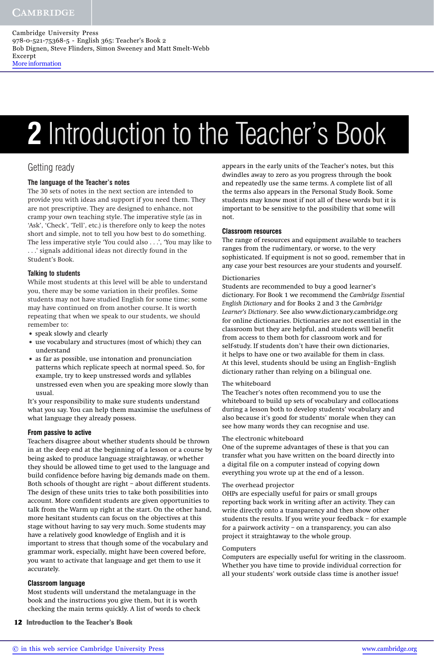# **2** Introduction to the Teacher's Book

# Getting ready

# **The language of the Teacher's notes**

The 30 sets of notes in the next section are intended to provide you with ideas and support if you need them. They are not prescriptive. They are designed to enhance, not cramp your own teaching style. The imperative style (as in 'Ask', 'Check', 'Tell', etc.) is therefore only to keep the notes short and simple, not to tell you how best to do something. The less imperative style 'You could also . . .', 'You may like to . . .' signals additional ideas not directly found in the Student's Book.

### **Talking to students**

While most students at this level will be able to understand you, there may be some variation in their profiles. Some students may not have studied English for some time; some may have continued on from another course. It is worth repeating that when we speak to our students, we should remember to:

- speak slowly and clearly
- use vocabulary and structures (most of which) they can understand
- as far as possible, use intonation and pronunciation patterns which replicate speech at normal speed. So, for example, try to keep unstressed words and syllables unstressed even when you are speaking more slowly than usual.

It's your responsibility to make sure students understand what you say. You can help them maximise the usefulness of what language they already possess.

#### **From passive to active**

Teachers disagree about whether students should be thrown in at the deep end at the beginning of a lesson or a course by being asked to produce language straightaway, or whether they should be allowed time to get used to the language and build confidence before having big demands made on them. Both schools of thought are right – about different students. The design of these units tries to take both possibilities into account. More confident students are given opportunities to talk from the Warm up right at the start. On the other hand, more hesitant students can focus on the objectives at this stage without having to say very much. Some students may have a relatively good knowledge of English and it is important to stress that though some of the vocabulary and grammar work, especially, might have been covered before, you want to activate that language and get them to use it accurately.

#### **Classroom language**

Most students will understand the metalanguage in the book and the instructions you give them, but it is worth checking the main terms quickly. A list of words to check

**12 Introduction to the Teacher's Book**

appears in the early units of the Teacher's notes, but this dwindles away to zero as you progress through the book and repeatedly use the same terms. A complete list of all the terms also appears in the Personal Study Book. Some students may know most if not all of these words but it is important to be sensitive to the possibility that some will not.

#### **Classroom resources**

The range of resources and equipment available to teachers ranges from the rudimentary, or worse, to the very sophisticated. If equipment is not so good, remember that in any case your best resources are your students and yourself.

#### **Dictionaries**

Students are recommended to buy a good learner's dictionary. For Book 1 we recommend the *Cambridge Essential English Dictionary* and for Books 2 and 3 the *Cambridge Learner's Dictionary*. See also www.dictionary.cambridge.org for online dictionaries. Dictionaries are not essential in the classroom but they are helpful, and students will benefit from access to them both for classroom work and for self-study. If students don't have their own dictionaries, it helps to have one or two available for them in class. At this level, students should be using an English–English dictionary rather than relying on a bilingual one.

#### **The whiteboard**

The Teacher's notes often recommend you to use the whiteboard to build up sets of vocabulary and collocations during a lesson both to develop students' vocabulary and also because it's good for students' morale when they can see how many words they can recognise and use.

#### **The electronic whiteboard**

One of the supreme advantages of these is that you can transfer what you have written on the board directly into a digital file on a computer instead of copying down everything you wrote up at the end of a lesson.

#### **The overhead projector**

OHPs are especially useful for pairs or small groups reporting back work in writing after an activity. They can write directly onto a transparency and then show other students the results. If you write your feedback – for example for a pairwork activity – on a transparency, you can also project it straightaway to the whole group.

#### **Computers**

Computers are especially useful for writing in the classroom. Whether you have time to provide individual correction for all your students' work outside class time is another issue!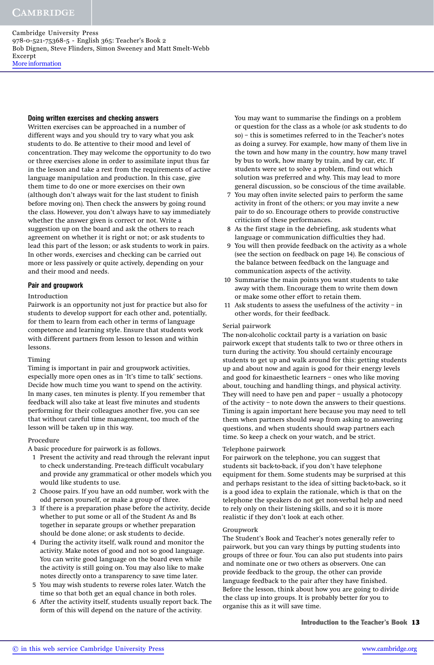#### **Doing written exercises and checking answers**

Written exercises can be approached in a number of different ways and you should try to vary what you ask students to do. Be attentive to their mood and level of concentration. They may welcome the opportunity to do two or three exercises alone in order to assimilate input thus far in the lesson and take a rest from the requirements of active language manipulation and production. In this case, give them time to do one or more exercises on their own (although don't always wait for the last student to finish before moving on). Then check the answers by going round the class. However, you don't always have to say immediately whether the answer given is correct or not. Write a suggestion up on the board and ask the others to reach agreement on whether it is right or not; or ask students to lead this part of the lesson; or ask students to work in pairs. In other words, exercises and checking can be carried out more or less passively or quite actively, depending on your and their mood and needs.

#### **Pair and groupwork**

#### **Introduction**

Pairwork is an opportunity not just for practice but also for students to develop support for each other and, potentially, for them to learn from each other in terms of language competence and learning style. Ensure that students work with different partners from lesson to lesson and within lessons.

#### **Timing**

Timing is important in pair and groupwork activities, especially more open ones as in 'It's time to talk' sections. Decide how much time you want to spend on the activity. In many cases, ten minutes is plenty. If you remember that feedback will also take at least five minutes and students performing for their colleagues another five, you can see that without careful time management, too much of the lesson will be taken up in this way.

#### **Procedure**

A basic procedure for pairwork is as follows.

- 1 Present the activity and read through the relevant input to check understanding. Pre-teach difficult vocabulary and provide any grammatical or other models which you would like students to use.
- 2 Choose pairs. If you have an odd number, work with the odd person yourself, or make a group of three.
- 3 If there is a preparation phase before the activity, decide whether to put some or all of the Student As and Bs together in separate groups or whether preparation should be done alone; or ask students to decide.
- 4 During the activity itself, walk round and monitor the activity. Make notes of good and not so good language. You can write good language on the board even while the activity is still going on. You may also like to make notes directly onto a transparency to save time later.
- 5 You may wish students to reverse roles later. Watch the time so that both get an equal chance in both roles.
- 6 After the activity itself, students usually report back. The form of this will depend on the nature of the activity.

You may want to summarise the findings on a problem or question for the class as a whole (or ask students to do so) – this is sometimes referred to in the Teacher's notes as doing a survey. For example, how many of them live in the town and how many in the country, how many travel by bus to work, how many by train, and by car, etc. If students were set to solve a problem, find out which solution was preferred and why. This may lead to more general discussion, so be conscious of the time available.

- You may often invite selected pairs to perform the same activity in front of the others; or you may invite a new pair to do so. Encourage others to provide constructive criticism of these performances.
- 8 As the first stage in the debriefing, ask students what language or communication difficulties they had.
- 9 You will then provide feedback on the activity as a whole (see the section on feedback on page 14). Be conscious of the balance between feedback on the language and communication aspects of the activity.
- 10 Summarise the main points you want students to take away with them. Encourage them to write them down or make some other effort to retain them.
- 11 Ask students to assess the usefulness of the activity in other words, for their feedback.

#### **Serial pairwork**

The non-alcoholic cocktail party is a variation on basic pairwork except that students talk to two or three others in turn during the activity. You should certainly encourage students to get up and walk around for this: getting students up and about now and again is good for their energy levels and good for kinaesthetic learners – ones who like moving about, touching and handling things, and physical activity. They will need to have pen and paper – usually a photocopy of the activity – to note down the answers to their questions. Timing is again important here because you may need to tell them when partners should swap from asking to answering questions, and when students should swap partners each time. So keep a check on your watch, and be strict.

#### **Telephone pairwork**

For pairwork on the telephone, you can suggest that students sit back-to-back, if you don't have telephone equipment for them. Some students may be surprised at this and perhaps resistant to the idea of sitting back-to-back, so it is a good idea to explain the rationale, which is that on the telephone the speakers do not get non-verbal help and need to rely only on their listening skills, and so it is more realistic if they don't look at each other.

#### **Groupwork**

The Student's Book and Teacher's notes generally refer to pairwork, but you can vary things by putting students into groups of three or four. You can also put students into pairs and nominate one or two others as observers. One can provide feedback to the group, the other can provide language feedback to the pair after they have finished. Before the lesson, think about how you are going to divide the class up into groups. It is probably better for you to organise this as it will save time.

#### **Introduction to the Teacher's Book 13**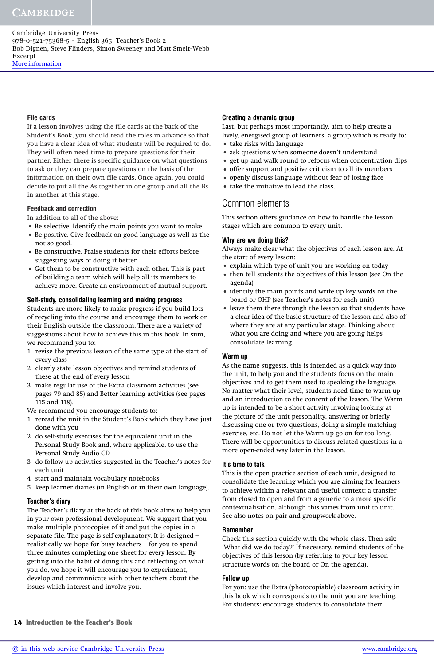**File cards**

If a lesson involves using the file cards at the back of the Student's Book, you should read the roles in advance so that you have a clear idea of what students will be required to do. They will often need time to prepare questions for their partner. Either there is specific guidance on what questions to ask or they can prepare questions on the basis of the information on their own file cards. Once again, you could decide to put all the As together in one group and all the Bs in another at this stage.

#### **Feedback and correction**

In addition to all of the above:

- Be selective. Identify the main points you want to make.
- Be positive. Give feedback on good language as well as the not so good.
- Be constructive. Praise students for their efforts before suggesting ways of doing it better.
- Get them to be constructive with each other. This is part of building a team which will help all its members to achieve more. Create an environment of mutual support.

#### **Self-study, consolidating learning and making progress**

Students are more likely to make progress if you build lots of recycling into the course and encourage them to work on their English outside the classroom. There are a variety of suggestions about how to achieve this in this book. In sum, we recommend you to:

- 1 revise the previous lesson of the same type at the start of every class
- 2 clearly state lesson objectives and remind students of these at the end of every lesson
- 3 make regular use of the Extra classroom activities (see pages 79 and 85) and Better learning activities (see pages 115 and 118).

We recommend you encourage students to:

- 1 reread the unit in the Student's Book which they have just done with you
- 2 do self-study exercises for the equivalent unit in the Personal Study Book and, where applicable, to use the Personal Study Audio CD
- 3 do follow-up activities suggested in the Teacher's notes for each unit
- 4 start and maintain vocabulary notebooks
- 5 keep learner diaries (in English or in their own language).

#### **Teacher's diary**

The Teacher's diary at the back of this book aims to help you in your own professional development. We suggest that you make multiple photocopies of it and put the copies in a separate file. The page is self-explanatory. It is designed – realistically we hope for busy teachers – for you to spend three minutes completing one sheet for every lesson. By getting into the habit of doing this and reflecting on what you do, we hope it will encourage you to experiment, develop and communicate with other teachers about the issues which interest and involve you.

#### **Creating a dynamic group**

Last, but perhaps most importantly, aim to help create a lively, energised group of learners, a group which is ready to:

- take risks with language
- ask questions when someone doesn't understand
- get up and walk round to refocus when concentration dips
- offer support and positive criticism to all its members
- openly discuss language without fear of losing face
- take the initiative to lead the class.

# Common elements

This section offers guidance on how to handle the lesson stages which are common to every unit.

#### **Why are we doing this?**

Always make clear what the objectives of each lesson are. At the start of every lesson:

- explain which type of unit you are working on today
- then tell students the objectives of this lesson (see On the agenda)
- identify the main points and write up key words on the board or OHP (see Teacher's notes for each unit)
- leave them there through the lesson so that students have a clear idea of the basic structure of the lesson and also of where they are at any particular stage. Thinking about what you are doing and where you are going helps consolidate learning.

#### **Warm up**

As the name suggests, this is intended as a quick way into the unit, to help you and the students focus on the main objectives and to get them used to speaking the language. No matter what their level, students need time to warm up and an introduction to the content of the lesson. The Warm up is intended to be a short activity involving looking at the picture of the unit personality, answering or briefly discussing one or two questions, doing a simple matching exercise, etc. Do not let the Warm up go on for too long. There will be opportunities to discuss related questions in a more open-ended way later in the lesson.

#### **It's time to talk**

This is the open practice section of each unit, designed to consolidate the learning which you are aiming for learners to achieve within a relevant and useful context: a transfer from closed to open and from a generic to a more specific contextualisation, although this varies from unit to unit. See also notes on pair and groupwork above.

#### **Remember**

Check this section quickly with the whole class. Then ask: 'What did we do today?' If necessary, remind students of the objectives of this lesson (by referring to your key lesson structure words on the board or On the agenda).

#### **Follow up**

For you: use the Extra (photocopiable) classroom activity in this book which corresponds to the unit you are teaching. For students: encourage students to consolidate their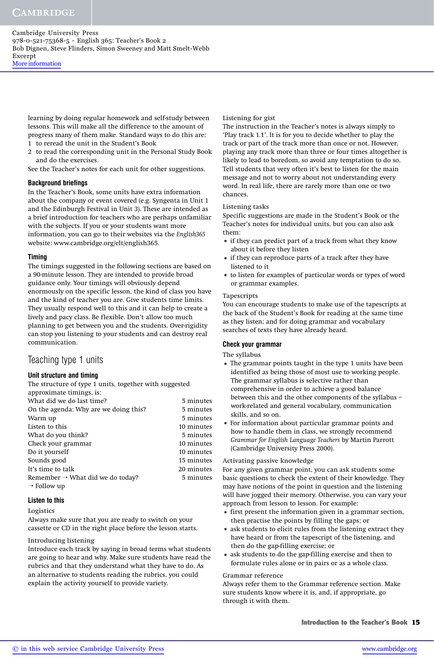learning by doing regular homework and self-study between lessons. This will make all the difference to the amount of progress many of them make. Standard ways to do this are:

- 1 to reread the unit in the Student's Book
- 2 to read the corresponding unit in the Personal Study Book and do the exercises.

See the Teacher's notes for each unit for other suggestions.

#### **Background briefings**

In the Teacher's Book, some units have extra information about the company or event covered (e.g. Syngenta in Unit 1 and the Edinburgh Festival in Unit 3). These are intended as a brief introduction for teachers who are perhaps unfamiliar with the subjects. If you or your students want more information, you can go to their websites via the *English365* website: www.cambridge.org/elt/english365.

#### **Timing**

The timings suggested in the following sections are based on a 90-minute lesson. They are intended to provide broad guidance only. Your timings will obviously depend enormously on the specific lesson, the kind of class you have and the kind of teacher you are. Give students time limits. They usually respond well to this and it can help to create a lively and pacy class. Be flexible. Don't allow too much planning to get between you and the students. Over-rigidity can stop you listening to your students and can destroy real communication.

# Teaching type 1 units

#### **Unit structure and timing**

The structure of type 1 units, together with suggested approximate timings, is: What did we do last time? 5 minutes On the agenda: Why are we doing this? 5 minutes Warm up 5 minutes Listen to this 10 minutes What do you think? 5 minutes Check your grammar 10 minutes Do it yourself 10 minutes Sounds good 15 minutes It's time to talk 20 minutes

Remember  $\rightarrow$  What did we do today? 5 minutes  $\rightarrow$  Follow up

## **Listen to this**

## **Logistics**

Always make sure that you are ready to switch on your cassette or CD in the right place before the lesson starts.

# **Introducing listening**

Introduce each track by saying in broad terms what students are going to hear and why. Make sure students have read the rubrics and that they understand what they have to do. As an alternative to students reading the rubrics, you could explain the activity yourself to provide variety.

## **Listening for gist**

The instruction in the Teacher's notes is always simply to 'Play track 1.1'. It is for you to decide whether to play the track or part of the track more than once or not. However, playing any track more than three or four times altogether is likely to lead to boredom, so avoid any temptation to do so. Tell students that very often it's best to listen for the main message and not to worry about not understanding every word. In real life, there are rarely more than one or two chances.

#### **Listening tasks**

Specific suggestions are made in the Student's Book or the Teacher's notes for individual units, but you can also ask them:

- if they can predict part of a track from what they know about it before they listen
- if they can reproduce parts of a track after they have listened to it
- to listen for examples of particular words or types of word or grammar examples.

#### **Tapescripts**

You can encourage students to make use of the tapescripts at the back of the Student's Book for reading at the same time as they listen; and for doing grammar and vocabulary searches of texts they have already heard.

#### **Check your grammar**

#### **The syllabus**

- The grammar points taught in the type 1 units have been identified as being those of most use to working people. The grammar syllabus is selective rather than comprehensive in order to achieve a good balance between this and the other components of the syllabus – work-related and general vocabulary, communication skills, and so on.
- For information about particular grammar points and how to handle them in class, we strongly recommend *Grammar for English Language Teachers* by Martin Parrott (Cambridge University Press 2000).

#### **Activating passive knowledge**

For any given grammar point, you can ask students some basic questions to check the extent of their knowledge. They may have notions of the point in question and the listening will have jogged their memory. Otherwise, you can vary your approach from lesson to lesson. For example:

- first present the information given in a grammar section, then practise the points by filling the gaps; or
- ask students to elicit rules from the listening extract they have heard or from the tapescript of the listening, and then do the gap-filling exercise; or
- ask students to do the gap-filling exercise and then to formulate rules alone or in pairs or as a whole class.

#### **Grammar reference**

Always refer them to the Grammar reference section. Make sure students know where it is, and, if appropriate, go through it with them.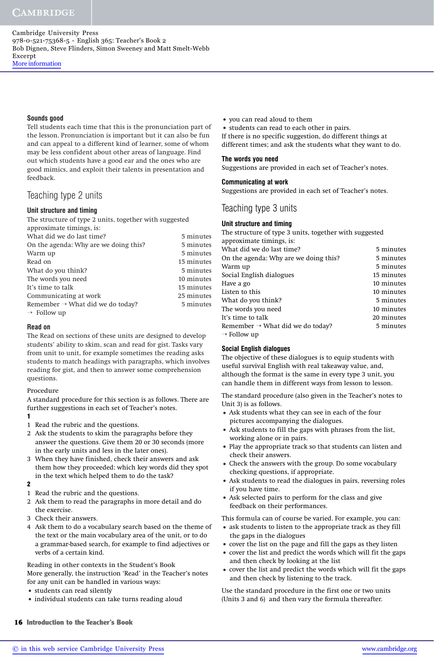#### **Sounds good**

Tell students each time that this is the pronunciation part of the lesson. Pronunciation is important but it can also be fun and can appeal to a different kind of learner, some of whom may be less confident about other areas of language. Find out which students have a good ear and the ones who are good mimics, and exploit their talents in presentation and feedback.

# Teaching type 2 units

#### **Unit structure and timing**

The structure of type 2 units, together with suggested approximate timings, is:

| approximate millings, is.                    |            |
|----------------------------------------------|------------|
| What did we do last time?                    | 5 minutes  |
| On the agenda: Why are we doing this?        | 5 minutes  |
| Warm up                                      | 5 minutes  |
| Read on                                      | 15 minutes |
| What do you think?                           | 5 minutes  |
| The words you need                           | 10 minutes |
| It's time to talk                            | 15 minutes |
| Communicating at work                        | 25 minutes |
| Remember $\rightarrow$ What did we do today? | 5 minutes  |
| $\rightarrow$ Follow up                      |            |
|                                              |            |

#### **Read on**

The Read on sections of these units are designed to develop students' ability to skim, scan and read for gist. Tasks vary from unit to unit, for example sometimes the reading asks students to match headings with paragraphs, which involves reading for gist, and then to answer some comprehension questions.

#### **Procedure**

A standard procedure for this section is as follows. There are further suggestions in each set of Teacher's notes.

- 1
- 1 Read the rubric and the questions.
- 2 Ask the students to skim the paragraphs before they answer the questions. Give them 20 or 30 seconds (more in the early units and less in the later ones).
- 3 When they have finished, check their answers and ask them how they proceeded: which key words did they spot in the text which helped them to do the task?

#### 2

- 1 Read the rubric and the questions.
- 2 Ask them to read the paragraphs in more detail and do the exercise.
- 3 Check their answers.
- 4 Ask them to do a vocabulary search based on the theme of the text or the main vocabulary area of the unit, or to do a grammar-based search, for example to find adjectives or verbs of a certain kind.

**Reading in other contexts in the Student's Book** More generally, the instruction 'Read' in the Teacher's notes for any unit can be handled in various ways:

- students can read silently
- individual students can take turns reading aloud
- **16 Introduction to the Teacher's Book**

• you can read aloud to them

• students can read to each other in pairs.

If there is no specific suggestion, do different things at different times; and ask the students what they want to do.

#### **The words you need**

Suggestions are provided in each set of Teacher's notes.

#### **Communicating at work**

Suggestions are provided in each set of Teacher's notes.

# Teaching type 3 units

#### **Unit structure and timing**

The structure of type 3 units, together with suggested approximate timings, is: What did we do last time? 5 minutes

| On the agenda: Why are we doing this?        | 5 minutes  |
|----------------------------------------------|------------|
| Warm up                                      | 5 minutes  |
| Social English dialogues                     | 15 minutes |
| Have a go                                    | 10 minutes |
| Listen to this                               | 10 minutes |
| What do you think?                           | 5 minutes  |
| The words you need                           | 10 minutes |
| It's time to talk                            | 20 minutes |
| Remember $\rightarrow$ What did we do today? | 5 minutes  |
| $\rightarrow$ Follow up                      |            |

#### **Social English dialogues**

The objective of these dialogues is to equip students with useful survival English with real takeaway value, and, although the format is the same in every type 3 unit, you can handle them in different ways from lesson to lesson.

The standard procedure (also given in the Teacher's notes to Unit 3) is as follows.

- Ask students what they can see in each of the four pictures accompanying the dialogues.
- Ask students to fill the gaps with phrases from the list, working alone or in pairs.
- Play the appropriate track so that students can listen and check their answers.
- Check the answers with the group. Do some vocabulary checking questions, if appropriate.
- Ask students to read the dialogues in pairs, reversing roles if you have time.
- Ask selected pairs to perform for the class and give feedback on their performances.

This formula can of course be varied. For example, you can:

- ask students to listen to the appropriate track as they fill the gaps in the dialogues
- cover the list on the page and fill the gaps as they listen
- cover the list and predict the words which will fit the gaps and then check by looking at the list
- cover the list and predict the words which will fit the gaps and then check by listening to the track.

Use the standard procedure in the first one or two units (Units 3 and 6) and then vary the formula thereafter.